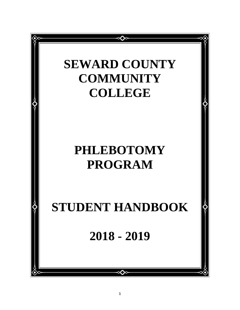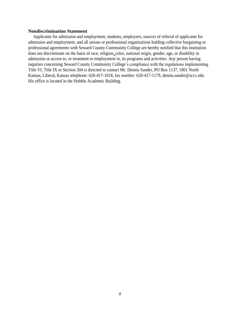#### **Nondiscrimination Statement**

Applicants for admission and employment, students, employees, sources of referral of applicants for admission and employment, and all unions or professional organizations holding collective bargaining or professional agreements with Seward County Community College are hereby notified that this institution does not discriminate on the basis of race, religion, color, national origin, gender, age, or disability in admission or access to, or treatment or employment in, its programs and activities. Any person having inquiries concerning Seward County Community College's compliance with the regulations implementing Title VI, Title IX or Section 504 is directed to contact Mr. Dennis Sander, PO Box 1137, 1801 North Kansas, Liberal, Kansas telephone: 620-417-1018, fax number: 620-417-1179, dennis.sander@sccc.edu. His office is located in the Hobble Academic Building.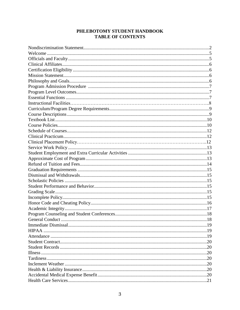# PHLEBOTOMY STUDENT HANDBOOK **TABLE OF CONTENTS**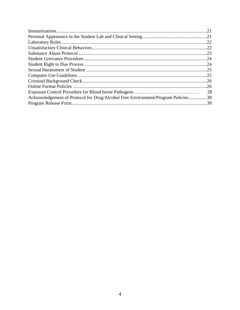| Acknowledgement of Protocol for Drug/Alcohol Free Environment/Program Policies 38 |
|-----------------------------------------------------------------------------------|
|                                                                                   |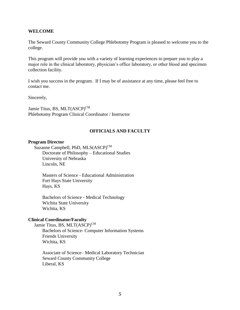#### **WELCOME**

The Seward County Community College Phlebotomy Program is pleased to welcome you to the college.

This program will provide you with a variety of learning experiences to prepare you to play a major role in the clinical laboratory, physician's office laboratory, or other blood and specimen collection facility.

I wish you success in the program. If I may be of assistance at any time, please feel free to contact me.

Sincerely,

Jamie Titus, BS, MLT(ASCP)<sup>CM</sup> Phlebotomy Program Clinical Coordinator / Instructor

#### **OFFICIALS AND FACULTY**

#### **Program Director**

Suzanne Campbell, PhD, MLS(ASCP)<sup>CM</sup> Doctorate of Philosophy – Educational Studies University of Nebraska Lincoln, NE

Masters of Science - Educational Administration Fort Hays State University Hays, KS

Bachelors of Science - Medical Technology Wichita State University Wichita, KS

#### **Clinical Coordinator/Faculty**

Jamie Titus, BS, MLT(ASCP)<sup>CM</sup> Bachelors of Science- Computer Information Systems Friends University Wichita, KS

Associate of Science– Medical Laboratory Technician Seward County Community College Liberal, KS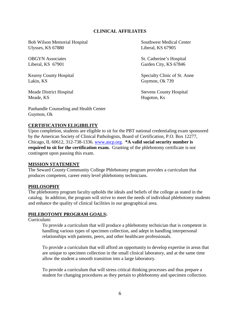## **CLINICAL AFFILIATES**

Bob Wilson Memorial Hospital Southwest Medical Center Ulysses, KS 67880 Liberal, KS 67905

Lakin, KS Guymon, Ok 739

Meade, KS Hugoton, Ks

Panhandle Counseling and Health Center Guymon, Ok

OBGYN Associates St. Catherine's Hospital 410 E. Walnut Associates St. Catherine's Hospital 410 E. Walnut A. Walnut A. Walnut A. Walnut A. Walnut A. Walnut A. Walnut A. Walnut A. Walnut A. Walnut A. Walnut A. Walnut A. Wal Liberal, KS 67901 Garden City, KS 67846

Kearny County Hospital Specialty Clinic of St. Anne

Meade District Hospital Stevens County Hospital

## **CERTIFICATION ELIGIBILITY**

Upon completion, students are eligible to sit for the PBT national credentialing exam sponsored by the American Society of Clinical Pathologists, Board of Certification, P.O. Box 12277, Chicago, IL 60612, 312-738-1336. [www.ascp.org.](http://www.ascp.org/) **\*A valid social security number is required to sit for the certification exam.** Granting of the phlebotomy certificate is not contingent upon passing this exam.

#### **MISSION STATEMENT**

The Seward County Community College Phlebotomy program provides a curriculum that produces competent, career entry level phlebotomy technicians.

#### **PHILOSOPHY**

The phlebotomy program faculty upholds the ideals and beliefs of the college as stated in the catalog. In addition, the program will strive to meet the needs of individual phlebotomy students and enhance the quality of clinical facilities in our geographical area.

#### **PHLEBOTOMY PROGRAM GOALS:**

Curriculum:

To provide a curriculum that will produce a phlebotomy technician that is competent in handling various types of specimen collection, and adept in handling interpersonal relationships with patients, peers, and other healthcare professionals.

To provide a curriculum that will afford an opportunity to develop expertise in areas that are unique to specimen collection in the small clinical laboratory, and at the same time allow the student a smooth transition into a large laboratory.

To provide a curriculum that will stress critical thinking processes and thus prepare a student for changing procedures as they pertain to phlebotomy and specimen collection.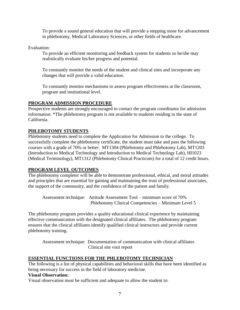To provide a sound general education that will provide a stepping stone for advancement in phlebotomy, Medical Laboratory Sciences, or other fields of healthcare.

Evaluation:

To provide an efficient monitoring and feedback system for students so he/she may realistically evaluate his/her progress and potential.

To constantly monitor the needs of the student and clinical sites and incorporate any changes that will provide a valid education.

To constantly monitor mechanisms to assess program effectiveness at the classroom, program and institutional level.

## **PROGRAM ADMISSION PROCEDURE**

Prospective students are strongly encouraged to contact the program coordinator for admission information. \*The phlebotomy program is not available to students residing in the state of California.

## **PHLEBOTOMY STUDENTS**

Phlebotomy students need to complete the Application for Admission to the college. To successfully complete the phlebotomy certificate, the student must take and pass the following courses with a grade of 70% or better: MT1304 (Phlebotomy and Phlebotomy Lab), MT1203 (Introduction to Medical Technology and Introduction to Medical Technology Lab), HI1023 (Medical Terminology), MT1312 (Phlebotomy Clinical Practicum) for a total of 12 credit hours.

### **PROGRAM LEVEL OUTCOMES**

The phlebotomy completer will be able to demonstrate professional, ethical, and moral attitudes and principles that are essential for gaining and maintaining the trust of professional associates, the support of the community, and the confidence of the patient and family.

Assessment technique: Attitude Assessment Tool – minimum score of 70% Phlebotomy Clinical Competencies – Minimum Level 5

The phlebotomy program provides a quality educational clinical experience by maintaining effective communication with the designated clinical affiliates. The phlebotomy program ensures that the clinical affiliates identify qualified clinical instructors and provide current phlebotomy training.

 Assessment technique: Documentation of communication with clinical affiliates Clinical site visit report

## **ESSENTIAL FUNCTIONS FOR THE PHLEBOTOMY TECHNICIAN**

The following is a list of physical capabilities and behavioral skills that have been identified as being necessary for success in the field of laboratory medicine.

## **Visual Observation:**

Visual observation must be sufficient and adequate to allow the student to: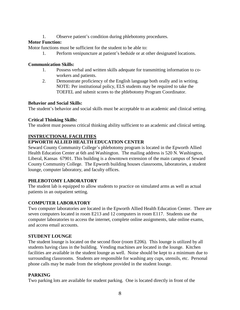1. Observe patient's condition during phlebotomy procedures.

## **Motor Function:**

Motor functions must be sufficient for the student to be able to:

1. Perform venipuncture at patient's bedside or at other designated locations.

### **Communication Skills:**

- 1. Possess verbal and written skills adequate for transmitting information to coworkers and patients.
- 2. Demonstrate proficiency of the English language both orally and in writing. NOTE: Per institutional policy, ELS students may be required to take the TOEFEL and submit scores to the phlebotomy Program Coordinator.

## **Behavior and Social Skills:**

The student's behavior and social skills must be acceptable to an academic and clinical setting.

## **Critical Thinking Skills:**

The student must possess critical thinking ability sufficient to an academic and clinical setting.

## **INSTRUCTIONAL FACILITIES**

# **EPWORTH ALLIED HEALTH EDUCATION CENTER**

Seward County Community College's phlebotomy program is located in the Epworth Allied Health Education Center at 6th and Washington. The mailing address is 520 N. Washington, Liberal, Kansas 67901. This building is a downtown extension of the main campus of Seward County Community College. The Epworth building houses classrooms, laboratories, a student lounge, computer laboratory, and faculty offices.

## **PHLEBOTOMY LABORATORY**

The student lab is equipped to allow students to practice on simulated arms as well as actual patients in an outpatient setting.

## **COMPUTER LABORATORY**

Two computer laboratories are located in the Epworth Allied Health Education Center. There are seven computers located in room E213 and 12 computers in room E117. Students use the computer laboratories to access the internet, complete online assignments, take online exams, and access email accounts.

## **STUDENT LOUNGE**

The student lounge is located on the second floor (room E206). This lounge is utilized by all students having class in the building. Vending machines are located in the lounge. Kitchen facilities are available in the student lounge as well. Noise should be kept to a minimum due to surrounding classrooms. Students are responsible for washing any cups, utensils, etc. Personal phone calls may be made from the telephone provided in the student lounge.

## **PARKING**

Two parking lots are available for student parking. One is located directly in front of the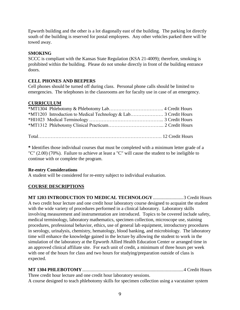Epworth building and the other is a lot diagonally east of the building. The parking lot directly south of the building is reserved for postal employees. Any other vehicles parked there will be towed away.

## **SMOKING**

SCCC is compliant with the Kansas State Regulation (KSA 21-4009); therefore, smoking is prohibited within the building. Please do not smoke directly in front of the building entrance doors.

## **CELL PHONES AND BEEPERS**

Cell phones should be turned off during class. Personal phone calls should be limited to emergencies. The telephones in the classrooms are for faculty use in case of an emergency.

## **CURRICULUM**

Total……………………………………………………………………. 12 Credit Hours

**\*** Identifies those individual courses that must be completed with a minimum letter grade of a "C" (2.00) (70%). Failure to achieve at least a "C" will cause the student to be ineligible to continue with or complete the program.

### **Re-entry Considerations**

A student will be considered for re-entry subject to individual evaluation.

## **COURSE DESCRIPTIONS**

**MT 1203 INTRODUCTION TO MEDICAL TECHNOLOGY**..........................3 Credit Hours A two credit hour lecture and one credit hour laboratory course designed to acquaint the student with the wide variety of procedures performed in a clinical laboratory. Laboratory skills involving measurement and instrumentation are introduced. Topics to be covered include safety, medical terminology, laboratory mathematics, specimen collection, microscope use, staining procedures, professional behavior, ethics, use of general lab equipment, introductory procedures in serology, urinalysis, chemistry, hematology, blood banking, and microbiology. The laboratory time will enhance the knowledge gained in the lecture by allowing the student to work in the simulation of the laboratory at the Epworth Allied Health Education Center or arranged time in an approved clinical affiliate site. For each unit of credit, a minimum of three hours per week with one of the hours for class and two hours for studying/preparation outside of class is expected.

**MT 1304 PHLEBOTOMY**......................................................................................4 Credit Hours

Three credit hour lecture and one credit hour laboratory sessions. A course designed to teach phlebotomy skills for specimen collection using a vacutainer system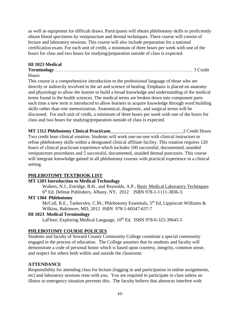as well as equipment for difficult draws. Participants will obtain phlebotomy skills to proficiently obtain blood specimens by venipuncture and dermal techniques. There course will consist of lecture and laboratory sessions. This course will also include preparation for a national certification exam. For each unit of credit, a minimum of three hours per week with one of the hours for class and two hours for studying/preparation outside of class is expected.

# **HI 1023 Medical**

**Terminology**…………………………………………………………………………….. 3 Credit **Hours** 

This course is a comprehensive introduction to the professional language of those who are directly or indirectly involved in the art and science of healing. Emphasis is placed on anatomy and physiology to allow the learner to build a broad knowledge and understanding of the medical terms found in the health sciences. The medical terms are broken down into component parts each time a new term is introduced to allow learners to acquire knowledge through word building skills rather than rote memorization. Anatomical, diagnostic, and surgical terms will be discussed. For each unit of credit, a minimum of three hours per week with one of the hours for class and two hours for studying/preparation outside of class is expected.

#### **MT 1312 Phlebotomy Clinical Practicum**\_\_\_\_\_\_\_\_\_\_\_\_\_\_\_\_\_\_\_\_\_\_\_\_\_\_\_\_\_\_\_2 Credit Hours

Two credit hour clinical rotation. Students will work one-on-one with clinical instructors to refine phlebotomy skills within a designated clinical affiliate facility. This rotation requires 120 hours of clinical practicum experience which includes 100 successful, documented, unaided venipuncture procedures and 5 successful, documented, unaided dermal punctures. This course will integrate knowledge gained in all phlebotomy courses with practical experience in a clinical setting.

# **PHLEBOTOMY TEXTBOOK LIST**

## **MT 1203 Introduction to Medical Technology**

Walters, N.J., Estridge, B.H., and Reynolds, A.P., Basic Medical Laboratory Techniques 6 th Ed. Delmar Publishers, Albany, NY**.** 2012 ISBN 978-1-1111-3836-3.

### **MT 1304 Phlebotomy**

McCall, R.E., Tankersley, C.M.; Phlebotomy Essentials,  $5<sup>th</sup>$  Ed, Lippincott Williams  $\&$ Wilkins, Baltimore, MD, 2012 ISBN 978-1-60547-637-7

## **HI 1023 Medical Terminology**

LaFleur; Exploring Medical Language,  $10^{th}$  Ed. ISBN 978-0-323-39645-5

## **PHLEBOTOMY COURSE POLICIES**

Students and faculty of Seward County Community College constitute a special community engaged in the process of education. The College assumes that its students and faculty will demonstrate a code of personal honor which is based upon courtesy, integrity, common sense, and respect for others both within and outside the classroom.

## **ATTENDANCE**

Responsibility for attending class for lecture (logging in and participation in online assignments, etc) and laboratory sessions rests with you. You are required to participate in class unless an illness or emergency situation prevents this. The faculty believe that absences interfere with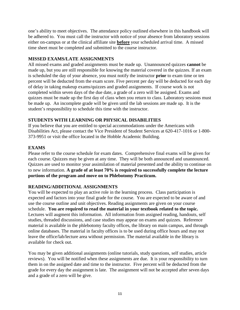one's ability to meet objectives. The attendance policy outlined elsewhere in this handbook will be adhered to. You must call the instructor with notice of your absence from laboratory sessions either on-campus or at the clinical affiliate site **before** your scheduled arrival time. A missed time sheet must be completed and submitted to the course instructor.

### **MISSED EXAMS/LATE ASSIGNMENTS**

All missed exams and graded assignments must be made up. Unannounced quizzes **cannot** be made up, but you are still responsible for knowing the material covered in the quizzes. If an exam is scheduled the day of your absence, you must notify the instructor **prior** to exam time or ten percent will be deducted from the exam score. Five percent per day will be deducted for each day of delay in taking makeup exams/quizzes and graded assignments. If course work is not completed within seven days of the due date, a grade of a zero will be assigned. Exams and quizzes must be made up the first day of class when you return to class. Laboratory sessions must be made up. An incomplete grade will be given until the lab sessions are made up. It is the student's responsibility to schedule this time with the instructor.

## **STUDENTS WITH LEARNING OR PHYSICAL DISABILITIES**

If you believe that you are entitled to special accommodations under the Americans with Disabilities Act, please contact the Vice President of Student Services at 620-417-1016 or 1-800- 373-9951 or visit the office located in the Hobble Academic Building.

## **EXAMS**

Please refer to the course schedule for exam dates. Comprehensive final exams will be given for each course. Quizzes may be given at any time. They will be both announced and unannounced. Quizzes are used to monitor your assimilation of material presented and the ability to continue on to new information. **A grade of at least 70% is required to successfully complete the lecture portions of the program and move on to Phlebotomy Practicum.**

### **READING/ADDITIONAL ASSIGNMENTS**

You will be expected to play an active role in the learning process. Class participation is expected and factors into your final grade for the course. You are expected to be aware of and use the course outline and unit objectives. Reading assignments are given on your course schedule. **You are required to read the material in your textbook related to the topic.** Lectures will augment this information. All information from assigned reading, handouts, self studies, threaded discussions, and case studies may appear on exams and quizzes. Reference material is available in the phlebotomy faculty offices, the library on main campus, and through online databases. The material in faculty offices is to be used during office hours and may not leave the office/lab/lecture area without permission. The material available in the library is available for check out.

You may be given additional assignments (online tutorials, study questions, self studies, article reviews). You will be notified when these assignments are due. It is your responsibility to turn them in on the assigned date and time to the instructor. Five percent will be deducted from the grade for every day the assignment is late. The assignment will not be accepted after seven days and a grade of a zero will be give.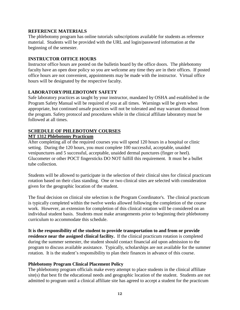#### **REFERENCE MATERIALS**

The phlebotomy program has online tutorials subscriptions available for students as reference material. Students will be provided with the URL and login/password information at the beginning of the semester.

#### **INSTRUCTOR OFFICE HOURS**

Instructor office hours are posted on the bulletin board by the office doors. The phlebotomy faculty have an open door policy so you are welcome any time they are in their offices. If posted office hours are not convenient, appointments may be made with the instructor. Virtual office hours will be designated by the respective faculty.

### **LABORATORY/PHLEBOTOMY SAFETY**

Safe laboratory practices as taught by your instructor, mandated by OSHA and established in the Program Safety Manual will be required of you at all times. Warnings will be given when appropriate, but continued unsafe practices will not be tolerated and may warrant dismissal from the program. Safety protocol and procedures while in the clinical affiliate laboratory must be followed at all times.

#### **SCHEDULE OF PHLEBOTOMY COURSES MT 1312 Phlebotomy Practicum**

After completing all of the required courses you will spend 120 hours in a hospital or clinic setting. During the 120 hours, you must complete 100 successful, acceptable, unaided venipunctures and 5 successful, acceptable, unaided dermal punctures (finger or heel). Glucometer or other POCT fingersticks DO NOT fulfill this requirement. It must be a bullet tube collection.

Students will be allowed to participate in the selection of their clinical sites for clinical practicum rotation based on their class standing. One or two clinical sites are selected with consideration given for the geographic location of the student.

The final decision on clinical site selection is the Program Coordinator's. The clinical practicum is typically completed within the twelve weeks allowed following the completion of the course work. However, an extension for completion of this clinical rotation will be considered on an individual student basis. Students must make arrangements prior to beginning their phlebotomy curriculum to accommodate this schedule.

**It is the responsibility of the student to provide transportation to and from or provide residence near the assigned clinical facility.** If the clinical practicum rotation is completed during the summer semester, the student should contact financial aid upon admission to the program to discuss available assistance. Typically, scholarships are not available for the summer rotation. It is the student's responsibility to plan their finances in advance of this course.

### **Phlebotomy Program Clinical Placement Policy**

The phlebotomy program officials make every attempt to place students in the clinical affiliate site(s) that best fit the educational needs and geographic location of the student. Students are not admitted to program until a clinical affiliate site has agreed to accept a student for the practicum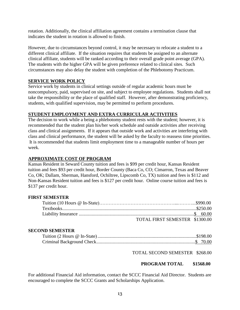rotation. Additionally, the clinical affiliation agreement contains a termination clause that indicates the student in rotation is allowed to finish.

However, due to circumstances beyond control, it may be necessary to relocate a student to a different clinical affiliate. If the situation requires that students be assigned to an alternate clinical affiliate, students will be ranked according to their overall grade point average (GPA). The students with the higher GPA will be given preference related to clinical sites. Such circumstances may also delay the student with completion of the Phlebotomy Practicum.

### **SERVICE WORK POLICY**

Service work by students in clinical settings outside of regular academic hours must be noncompulsory, paid, supervised on site, and subject to employee regulations. Students shall not take the responsibility or the place of qualified staff. However, after demonstrating proficiency, students, with qualified supervision, may be permitted to perform procedures.

## **STUDENT EMPLOYMENT AND EXTRA CURRICULAR ACTIVITIES**

The decision to work while a being a phlebotomy student rests with the student; however, it is recommended that the student plan his/her work schedule and outside activities after receiving class and clinical assignments. If it appears that outside work and activities are interfering with class and clinical performance, the student will be asked by the faculty to reassess time priorities. It is recommended that students limit employment time to a manageable number of hours per week.

## **APPROXIMATE COST OF PROGRAM**

Kansas Resident in Seward County tuition and fees is \$99 per credit hour, Kansas Resident tuition and fees \$93 per credit hour, Border County (Baca Co, CO; Cimarron, Texas and Beaver Co, OK; Dallam, Sherman, Hansford, Ochiltree, Lipscomb Co, TX) tuition and fees is \$112 and Non-Kansas Resident tuition and fees is \$127 per credit hour. Online course tuition and fees is \$137 per credit hour.

### **FIRST SEMESTER**

| TOTAL FIRST SEMESTER \$1300.00 |  |
|--------------------------------|--|

#### **SECOND SEMESTER**

TOTAL SECOND SEMESTER \$268.00

### **PROGRAM TOTAL \$1568.00**

For additional Financial Aid information, contact the SCCC Financial Aid Director. Students are encouraged to complete the SCCC Grants and Scholarships Application.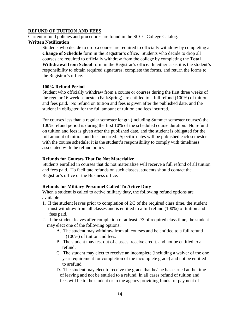#### **REFUND OF TUITION AND FEES**

Current refund policies and procedures are found in the SCCC College Catalog. **Written Notification**

Students who decide to drop a course are required to officially withdraw by completing a **Change of Schedule** form in the Registrar's office. Students who decide to drop all courses are required to officially withdraw from the college by completing the **Total Withdrawal from School** form in the Registrar's office. In either case, it is the student's responsibility to obtain required signatures, complete the forms, and return the forms to the Registrar's office.

#### **100% Refund Period**

Student who officially withdraw from a course or courses during the first three weeks of the regular 16 week semester (Fall/Spring) are entitled to a full refund (100%) of tuition and fees paid. No refund on tuition and fees is given after the published date, and the student in obligated for the full amount of tuition and fees incurred.

For courses less than a regular semester length (including Summer semester courses) the 100% refund period is during the first 10% of the scheduled course duration. No refund on tuition and fees is given after the published date, and the student is obligated for the full amount of tuition and fees incurred. Specific dates will be published each semester with the course schedule; it is the student's responsibility to comply with timeliness associated with the refund policy.

#### **Refunds for Courses That Do Not Materialize**

Students enrolled in courses that do not materialize will receive a full refund of all tuition and fees paid. To facilitate refunds on such classes, students should contact the Registrar's office or the Business office.

#### **Refunds for Military Personnel Called To Active Duty**

When a student is called to active military duty, the following refund options are available:

- 1. If the student leaves prior to completion of 2/3 of the required class time, the student must withdraw from all classes and is entitled to a full refund (100%) of tuition and fees paid.
- 2. If the student leaves after completion of at least 2/3 of required class time, the student may elect one of the following options:
	- A. The student may withdraw from all courses and be entitled to a full refund (100%) of tuition and fees.
	- B. The student may test out of classes, receive credit, and not be entitled to a refund.
	- C. The student may elect to receive an incomplete (including a waiver of the one year requirement for completion of the incomplete grade) and not be entitled to arefund.
	- D. The student may elect to receive the grade that he/she has earned at the time of leaving and not be entitled to a refund. In all cases refund of tuition and fees will be to the student or to the agency providing funds for payment of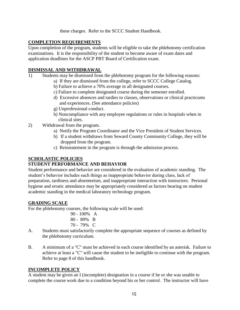these charges. Refer to the SCCC Student Handbook.

## **COMPLETION REQUIREMENTS**

Upon completion of the program, students will be eligible to take the phlebotomy certification examinations. It is the responsibility of the student to become aware of exam dates and application deadlines for the ASCP PBT Board of Certification exam.

## **DISMISSAL AND WITHDRAWAL**

- 1) Students may be dismissed from the phlebotomy program for the following reasons:
	- a) If they are dismissed from the college, refer to SCCC College Catalog.
		- b) Failure to achieve a 70% average in all designated courses.
		- c) Failure to complete designated course during the semester enrolled.
		- d) Excessive absences and tardies to classes, observations or clinical practicums and experiences. (See attendance policies)
		- g) Unprofessional conduct.
		- h) Noncompliance with any employee regulations or rules in hospitals when in clinical sites.
- 2) Withdrawal from the program.
	- a) Notify the Program Coordinator and the Vice President of Student Services.
	- b) If a student withdraws from Seward County Community College, they will be dropped from the program.
	- c) Reinstatement in the program is through the admission process.

### **SCHOLASTIC POLICIES**

### **STUDENT PERFORMANCE AND BEHAVIOR**

Student performance and behavior are considered in the evaluation of academic standing. The student's behavior includes such things as inappropriate behavior during class, lack of preparation, tardiness and absenteeism, and inappropriate interaction with instructors. Personal hygiene and erratic attendance may be appropriately considered as factors bearing on student academic standing in the medical laboratory technology program.

## **GRADING SCALE**

For the phlebotomy courses, the following scale will be used:

| 90 - 100% A |  |
|-------------|--|
| 80 - 89% B  |  |
| 70 - 79% C  |  |

- A. Students must satisfactorily complete the appropriate sequence of courses as defined by the phlebotomy curriculum.
- B. A minimum of a "C" must be achieved in each course identified by an asterisk. Failure to achieve at least a "C" will cause the student to be ineligible to continue with the program. Refer to page 8 of this handbook.

## **INCOMPLETE POLICY**

A student may be given an I (incomplete) designation in a course if he or she was unable to complete the course work due to a condition beyond his or her control. The instructor will have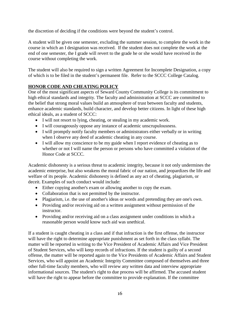the discretion of deciding if the conditions were beyond the student's control.

A student will be given one semester, excluding the summer session, to complete the work in the course in which an I designation was received. If the student does not complete the work at the end of one semester, the I grade will revert to the grade he or she would have received in the course without completing the work.

The student will also be required to sign a written Agreement for Incomplete Designation, a copy of which is to be filed in the student's permanent file. Refer to the SCCC College Catalog.

# **HONOR CODE AND CHEATING POLICY**

One of the most significant aspects of Seward County Community College is its commitment to high ethical standards and integrity. The faculty and administration at SCCC are committed to the belief that strong moral values build an atmosphere of trust between faculty and students, enhance academic standards, build character, and develop better citizens. In light of these high ethical ideals, as a student of SCCC:

- I will not resort to lying, cheating, or stealing in my academic work.
- I will courageously oppose any instance of academic unscrupulousness.
- I will promptly notify faculty members or administrators either verbally or in writing when I observe any deed of academic cheating in any course.
- I will allow my conscience to be my guide when I report evidence of cheating as to whether or not I will name the person or persons who have committed a violation of the Honor Code at SCCC.

Academic dishonesty is a serious threat to academic integrity, because it not only undermines the academic enterprise, but also weakens the moral fabric of our nation, and jeopardizes the life and welfare of its people. Academic dishonesty is defined as any act of cheating, plagiarism, or deceit. Examples of such conduct would include:

- Either copying another's exam or allowing another to copy the exam.
- Collaboration that is not permitted by the instructor.
- Plagiarism, i.e. the use of another's ideas or words and pretending they are one's own.
- Providing and/or receiving aid on a written assignment without permission of the instructor.
- Providing and/or receiving aid on a class assignment under conditions in which a reasonable person would know such aid was unethical.

If a student is caught cheating in a class and if that infraction is the first offense, the instructor will have the right to determine appropriate punishment as set forth in the class syllabi. The matter will be reported in writing to the Vice President of Academic Affairs and Vice President of Student Services, who will keep records of infractions. If the student is guilty of a second offense, the matter will be reported again to the Vice Presidents of Academic Affairs and Student Services, who will appoint an Academic Integrity Committee composed of themselves and three other full-time faculty members, who will review any written data and interview appropriate informational sources. The student's right to due process will be affirmed. The accused student will have the right to appear before the committee to provide explanation. If the committee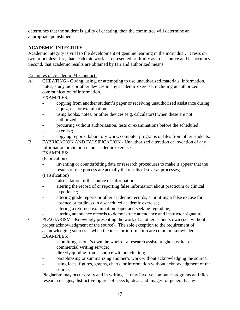determines that the student is guilty of cheating, then the committee will determine an appropriate punishment.

# **ACADEMIC INTEGRITY**

Academic integrity is vital to the development of genuine learning in the individual. It rests on two principles: first, that academic work is represented truthfully as to its source and its accuracy. Second, that academic results are obtained by fair and authorized means.

## Examples of Academic Misconduct:

A. CHEATING - Giving, using, or attempting to use unauthorized materials, information, notes, study aids or other devices in any academic exercise, including unauthorized communication of information.

EXAMPLES:

- copying from another student's paper or receiving unauthorized assistance during a quiz, test or examination;
- using books, notes, or other devices (e.g. calculators) when these are not
- authorized:
- procuring without authorization, tests or examinations before the scheduled
- exercise;
	- copying reports, laboratory work, computer programs or files from other students.
- B. FABRICATION AND FALSIFICATION Unauthorized alteration or invention of any information or citation in an academic exercise. EXAMPLES:

(Fabrication)

- inventing or counterfeiting data or research procedures to make it appear that the results of one process are actually the results of several processes;

(Falsification)

- false citation of the source of information;
- altering the record of or reporting false information about practicum or clinical experience;
- altering grade reports or other academic records, submitting a false excuse for absence or tardiness in a scheduled academic exercise;
- altering a returned examination paper and seeking regrading;
- altering attendance records to demonstrate attendance and instructor signature.
- C. PLAGIARISM Knowingly presenting the work of another as one's own (i.e., without proper acknowledgment of the source). The sole exception to the requirement of acknowledging sources is when the ideas or information are common knowledge. EXAMPLES:
	- submitting as one's own the work of a research assistant, ghost writer or commercial writing service;
	- directly quoting from a source without citation;
	- paraphrasing or summarizing another's work without acknowledging the source;
	- using facts, figures, graphs, charts, or information without acknowledgment of the source.

Plagiarism may occur orally and in writing. It may involve computer programs and files, research designs, distinctive figures of speech, ideas and images, or generally any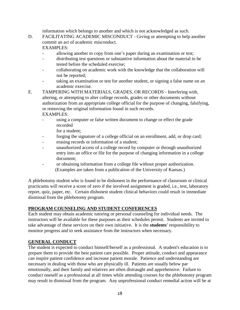information which belongs to another and which is not acknowledged as such.

D. FACILITATING ACADEMIC MISCONDUCT - Giving or attempting to help another commit an act of academic misconduct.

EXAMPLES:

- allowing another to copy from one's paper during an examination or test;
- distributing test questions or substantive information about the material to be tested before the scheduled exercise;
- collaborating on academic work with the knowledge that the collaboration will not be reported;
- taking an examination or test for another student, or signing a false name on an academic exercise.
- E. TAMPERING WITH MATERIALS, GRADES, OR RECORDS Interfering with, altering, or attempting to alter college records, grades or other documents without authorization from an appropriate college official for the purpose of changing, falsifying, or removing the original information found in such records. EXAMPLES:
	- using a computer or false written document to change or effect the grade recorded

for a student;

- forging the signature of a college official on an enrollment, add, or drop card;
- erasing records or information of a student;
- unauthorized access of a college record by computer or through unauthorized entry into an office or file for the purpose of changing information in a college document;
- or obtaining information from a college file without proper authorization. (Examples are taken from a publication of the University of Kansas.)

A phlebotomy student who is found to be dishonest in the performance of classroom or clinical practicums will receive a score of zero if the involved assignment is graded, i.e., test, laboratory report, quiz, paper, etc. Certain dishonest student clinical behaviors could result in immediate dismissal from the phlebotomy program.

### **PROGRAM COUNSELING AND STUDENT CONFERENCES**

Each student may obtain academic tutoring or personal counseling for individual needs. The instructors will be available for these purposes as their schedules permit. Students are invited to take advantage of these services on their own initiative. It is the **students'** responsibility to monitor progress and to seek assistance from the instructors when necessary.

### **GENERAL CONDUCT**

The student is expected to conduct himself/herself as a professional. A student's education is to prepare them to provide the best patient care possible. Proper attitude, conduct and appearance can inspire patient confidence and increase patient morale. Patience and understanding are necessary in dealing with those who are physically ill. Patients are usually below par emotionally, and their family and relatives are often distraught and apprehensive. Failure to conduct oneself as a professional at all times while attending courses for the phlebotomy program may result in dismissal from the program. Any unprofessional conduct remedial action will be at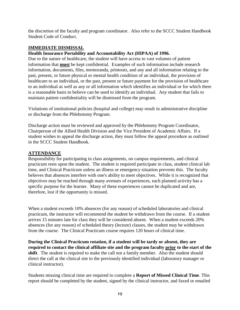the discretion of the faculty and program coordinator. Also refer to the SCCC Student Handbook Student Code of Conduct.

### **IMMEDIATE DISMISSAL**

#### **Health Insurance Portability and Accountability Act (HIPAA) of 1996.**

Due to the nature of healthcare, the student will have access to vast volumes of patient information that **must** be kept confidential. Examples of such information include research information, documents, files, memoranda, printouts, and any and all information relating to the past, present, or future physical or mental health condition of an individual, the provision of healthcare to an individual, or the past, present or future payment for the provision of healthcare to an individual as well as any or all information which identifies an individual or for which there is a reasonable basis to believe can be used to identify an individual. Any student that fails to maintain patient confidentiality will be dismissed from the program.

Violations of institutional policies (hospital and college) may result in administrative discipline or discharge from the Phlebotomy Program.

Discharge action must be reviewed and approved by the Phlebotomy Program Coordinator, Chairperson of the Allied Health Division and the Vice President of Academic Affairs. If a student wishes to appeal the discharge action, they must follow the appeal procedure as outlined in the SCCC Student Handbook.

#### **ATTENDANCE**

Responsibility for participating in class assignments, on campus requirements, and clinical practicum rests upon the student. The student is required participate in class, student clinical lab time, and Clinical Practicum unless an illness or emergency situation prevents this. The faculty believes that absences interfere with one's ability to meet objectives. While it is recognized that objectives may be reached through many avenues of experiences, each planned activity has a specific purpose for the learner. Many of these experiences cannot be duplicated and are, therefore, lost if the opportunity is missed.

When a student exceeds 10% absences (for any reason) of scheduled laboratories and clinical practicum, the instructor will recommend the student be withdrawn from the course. If a student arrives 15 minutes late for class they will be considered absent. When a student exceeds 20% absences (for any reason) of scheduled theory (lecture) classes, the student may be withdrawn from the course. The Clinical Practicum course requires 120 hours of clinical time.

**During the Clinical Practicum rotation, if a student will be tardy or absent, they are required to contact the clinical affiliate site and the program faculty prior to the start of the shift**. The student is required to make the call not a family member. Also the student should direct the call at the clinical site to the previously identified individual (laboratory manager or clinical instructor).

Students missing clinical time are required to complete a **Report of Missed Clinical Time**. This report should be completed by the student, signed by the clinical instructor, and faxed or emailed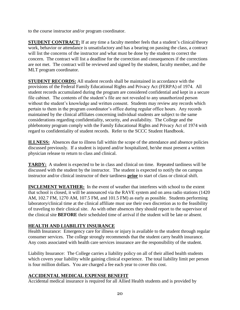to the course instructor and/or program coordinator.

**STUDENT CONTRACT:** If at any time a faculty member feels that a student's clinical/theory work, behavior or attendance is unsatisfactory and has a bearing on passing the class, a contract will list the concerns of the instructor and what must be done by the student to correct the concern. The contract will list a deadline for the correction and consequences if the corrections are not met. The contract will be reviewed and signed by the student, faculty member, and the MLT program coordinator.

**STUDENT RECORDS:** All student records shall be maintained in accordance with the provisions of the Federal Family Educational Rights and Privacy Act (FERPA) of 1974. All student records accumulated during the program are considered confidential and kept in a secure file cabinet. The contents of the student's file are not revealed to any unauthorized person without the student's knowledge and written consent. Students may review any records which pertain to them in the program coordinator's office during regular office hours. Any records maintained by the clinical affiliates concerning individual students are subject to the same considerations regarding confidentiality, security, and availability. The College and the phlebotomy program comply with the Family Educational Rights and Privacy Act of 1974 with regard to confidentiality of student records. Refer to the SCCC Student Handbook.

**ILLNESS:** Absences due to illness fall within the scope of the attendance and absence policies discussed previously. If a student is injured and/or hospitalized, he/she must present a written physician release to return to class and clinical.

**TARDY:** A student is expected to be in class and clinical on time. Repeated tardiness will be discussed with the student by the instructor. The student is expected to notify the on campus instructor and/or clinical instructor of their tardiness **prior** to start of class or clinical shift.

**INCLEMENT WEATHER:** In the event of weather that interferes with school to the extent that school is closed, it will be announced via the RAVE system and on area radio stations (1420 AM, 102.7 FM, 1270 AM, 107.5 FM, and 101.5 FM) as early as possible. Students performing laboratory/clinical time at the clinical affiliate must use their own discretion as to the feasibility of traveling to their clinical site. As with other absences they should report to the supervisor of the clinical site **BEFORE** their scheduled time of arrival if the student will be late or absent.

## **HEALTH AND LIABILITY INSURANCE**

Health Insurance: Emergency care for illness or injury is available to the student through regular consumer services. The college strongly recommends that the student carry health insurance. Any costs associated with health care services insurance are the responsibility of the student.

Liability Insurance: The College carries a liability policy on all of their allied health students which covers your liability while gaining clinical experience. The total liability limit per person is four million dollars. You are charged a fee each year to cover this cost.

## **ACCIDENTAL MEDICAL EXPENSE BENEFIT**

Accidental medical insurance is required for all Allied Health students and is provided by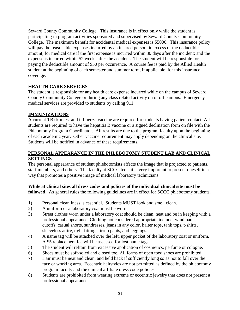Seward County Community College. This insurance is in effect only while the student is participating in program activities sponsored and supervised by Seward County Community College. The maximum benefit for accidental medical expenses is \$5000. This insurance policy will pay the reasonable expenses incurred by an insured person, in excess of the deductible amount, for medical care if the first expense is incurred within 30 days after the incident; and the expense is incurred within 52 weeks after the accident. The student will be responsible for paying the deductible amount of \$50 per occurrence. A course fee is paid by the Allied Health student at the beginning of each semester and summer term, if applicable, for this insurance coverage.

## **HEALTH CARE SERVICES**

The student is responsible for any health care expense incurred while on the campus of Seward County Community College or during any class related activity on or off campus. Emergency medical services are provided to students by calling 911.

## **IMMUNIZATIONS**

A current TB skin test and influenza vaccine are required for students having patient contact. All students are required to have the hepatitis B vaccine or a signed declination form on file with the Phlebotomy Program Coordinator. All results are due to the program faculty upon the beginning of each academic year. Other vaccine requirement may apply depending on the clinical site. Students will be notified in advance of these requirements.

## **PERSONAL APPEARANCE IN THE PHLEBOTOMY STUDENT LAB AND CLINICAL SETTINGS**

The personal appearance of student phlebotomists affects the image that is projected to patients, staff members, and others. The faculty at SCCC feels it is very important to present oneself in a way that promotes a positive image of medical laboratory technicians.

#### **While at clinical sites all dress codes and policies of the individual clinical site must be followed**. As general rules the following guidelines are in effect for SCCC phlebotomy students.

- 1) Personal cleanliness is essential. Students MUST look and smell clean.
- 2) A uniform or a laboratory coat must be worn.
- 3) Street clothes worn under a laboratory coat should be clean, neat and be in keeping with a professional appearance. Clothing not considered appropriate include: wind pants, cutoffs, casual shorts, sundresses, jeans in any color, halter tops, tank tops, t-shirts, sleeveless attire, tight fitting stirrup pants, and leggings.
- 4) A name tag will be attached over the left, upper pocket of the laboratory coat or uniform. A \$5 replacement fee will be assessed for lost name tags.
- 5) The student will refrain from excessive application of cosmetics, perfume or cologne.
- 6) Shoes must be soft-soled and closed toe. All forms of open toed shoes are prohibited.
- 7) Hair must be neat and clean, and held back if sufficiently long so as not to fall over the face or working area. Eccentric hairstyles are not permitted as defined by the phlebotomy program faculty and the clinical affiliate dress code policies.
- 8) Students are prohibited from wearing extreme or eccentric jewelry that does not present a professional appearance.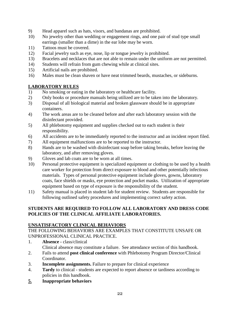- 9) Head apparel such as hats, visors, and bandanas are prohibited.
- 10) No jewelry other than wedding or engagement rings, and one pair of stud type small earrings (smaller than a dime) in the ear lobe may be worn.
- 11) Tattoos must be covered.
- 12) Facial jewelry such as eye, nose, lip or tongue jewelry is prohibited.
- 13) Bracelets and necklaces that are not able to remain under the uniform are not permitted.
- 14) Students will refrain from gum chewing while at clinical sites.
- 15) Artificial nails are prohibited.
- 16) Males must be clean shaven or have neat trimmed beards, mustaches, or sideburns.

## **LABORATORY RULES**

- 1) No smoking or eating in the laboratory or healthcare facility.
- 2) Only books or procedure manuals being utilized are to be taken into the laboratory.
- 3) Disposal of all biological material and broken glassware should be in appropriate containers.
- 4) The work areas are to be cleaned before and after each laboratory session with the disinfectant provided.
- 5) All phlebotomy equipment and supplies checked out to each student is their responsibility.
- 6) All accidents are to be immediately reported to the instructor and an incident report filed.
- 7) All equipment malfunctions are to be reported to the instructor.
- 8) Hands are to be washed with disinfectant soap before taking breaks, before leaving the laboratory, and after removing gloves.
- 9) Gloves and lab coats are to be worn at all times.
- 10) Personal protective equipment is specialized equipment or clothing to be used by a health care worker for protection from direct exposure to blood and other potentially infectious materials. Types of personal protective equipment include gloves, gowns, laboratory coats, face shields or masks, eye protection and pocket masks. Utilization of appropriate equipment based on type of exposure is the responsibility of the student.
- 11) Safety manual is placed in student lab for student review. Students are responsible for following outlined safety procedures and implementing correct safety action.

## **STUDENTS ARE REQUIRED TO FOLLOW ALL LABORATORY AND DRESS CODE POLICIES OF THE CLINICAL AFFILIATE LABORATORIES.**

## **UNSATISFACTORY CLINICAL BEHAVIORS**

THE FOLLOWING BEHAVIORS ARE EXAMPLES THAT CONSTITUTE UNSAFE OR UNPROFESSIONAL CLINICAL PRACTICE.

- 1. **Absence -** class/clinical Clinical absence may constitute a failure. See attendance section of this handbook.
- 2. Fails to attend **post clinical conference** with Phlebotomy Program Director/Clinical Coordinator.
- 3. **Incomplete assignments.** Failure to prepare for clinical experience
- 4. **Tardy** to clinical students are expected to report absence or tardiness according to policies in this handbook.
- **5. Inappropriate behaviors**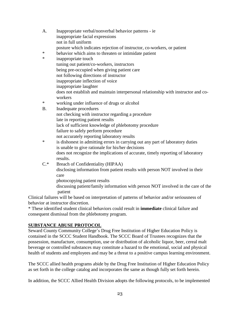- A. Inappropriate verbal/nonverbal behavior patterns ie inappropriate facial expressions not in full uniform posture which indicates rejection of instructor, co-workers, or patient \* behavior which aims to threaten or intimidate patient<br>\* inanpropriate touch inappropriate touch tuning out patient/co-workers, instructors being pre-occupied when giving patient care not following directions of instructor inappropriate inflection of voice inappropriate laughter does not establish and maintain interpersonal relationship with instructor and coworkers \* working under influence of drugs or alcohol B. Inadequate procedures not checking with instructor regarding a procedure late in reporting patient results
	- lack of sufficient knowledge of phlebotomy procedure
	- failure to safely perform procedure
	- not accurately reporting laboratory results
- \* is dishonest in admitting errors in carrying out any part of laboratory duties is unable to give rationale for his/her decisions does not recognize the implications of accurate, timely reporting of laboratory results.
- C.\* Breach of Confidentiality (HIPAA)

disclosing information from patient results with person NOT involved in their care

photocopying patient results

discussing patient/family information with person NOT involved in the care of the patient

Clinical failures will be based on interpretation of patterns of behavior and/or seriousness of behavior at instructor discretion.

\* These identified student clinical behaviors could result in **immediate** clinical failure and consequent dismissal from the phlebotomy program.

### **SUBSTANCE ABUSE PROTOCOL**

Seward County Community College's Drug Free Institution of Higher Education Policy is contained in the SCCC Student Handbook. The SCCC Board of Trustees recognizes that the possession, manufacture, consumption, use or distribution of alcoholic liquor, beer, cereal malt beverage or controlled substances may constitute a hazard to the emotional, social and physical health of students and employees and may be a threat to a positive campus learning environment.

The SCCC allied health programs abide by the Drug Free Institution of Higher Education Policy as set forth in the college catalog and incorporates the same as though fully set forth herein.

In addition, the SCCC Allied Health Division adopts the following protocols, to be implemented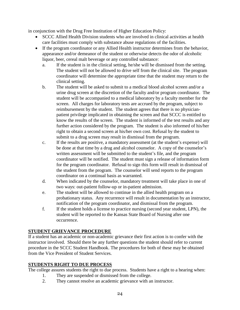in conjunction with the Drug Free Institution of Higher Education Policy:

- SCCC Allied Health Division students who are involved in clinical activities at health care facilities must comply with substance abuse regulations of the facilities.
- If the program coordinator or any Allied Health instructor determines from the behavior, appearance and/or demeanor of the student or otherwise detects the odor of alcoholic liquor, beer, cereal malt beverage or any controlled substance:
	- a. If the student is in the clinical setting, he/she will be dismissed from the setting. The student will not be allowed to drive self from the clinical site.The program coordinator will determine the appropriate time that the student may return to the clinical setting.
	- b. The student will be asked to submit to a medical blood alcohol screen and/or a urine drug screen at the discretion of the faculty and/or program coordinator. The student will be accompanied to a medical laboratory by a faculty member for the screen. All charges for laboratory tests are accrued by the program, subject to reimbursement by the student. The student agrees that there is no physicianpatient privilege implicated in obtaining the screen and that SCCC is entitled to know the results of the screen. The student is informed of the test results and any further action considered by the program. The student is also informed of his/her right to obtain a second screen at his/her own cost. Refusal by the student to submit to a drug screen may result in dismissal from the program.
	- c. If the results are positive, a mandatory assessment (at the student's expense) will be done at that time by a drug and alcohol counselor. A copy of the counselor's written assessment will be submitted to the student's file, and the program coordinator will be notified. The student must sign a release of information form for the program coordinator. Refusal to sign this form will result in dismissal of the student from the program. The counselor will send reports to the program coordinator on a continual basis as warranted.
	- d. When indicated by the counselor, mandatory treatment will take place in one of two ways: out-patient follow-up or in-patient admission.
	- e. The student will be allowed to continue in the allied health program on a probationary status. Any recurrence will result in documentation by an instructor, notification of the program coordinator, and dismissal from the program.
	- f. If the student holds a license to practice nursing (second year student, LPN), the student will be reported to the Kansas State Board of Nursing after one occurrence.

## **STUDENT GRIEVANCE PROCEDURE**

If a student has an academic or non-academic grievance their first action is to confer with the instructor involved. Should there be any further questions the student should refer to current procedure in the SCCC Student Handbook. The procedures for both of these may be obtained from the Vice President of Student Services.

# **STUDENTS RIGHT TO DUE PROCESS**

The college assures students the right to due process. Students have a right to a hearing when:

- 1. They are suspended or dismissed from the college.
- 2. They cannot resolve an academic grievance with an instructor.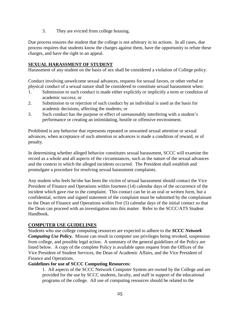3. They are evicted from college housing.

Due process ensures the student that the college is not arbitrary in its actions. In all cases, due process requires that students know the charges against them, have the opportunity to refute these charges, and have the right to an appeal.

### **SEXUAL HARASSMENT OF STUDENT**

Harassment of any student on the basis of sex shall be considered a violation of College policy.

Conduct involving unwelcome sexual advances, requests for sexual favors, or other verbal or physical conduct of a sexual nature shall be considered to constitute sexual harassment when:

- 1. Submission to such conduct is made either explicitly or implicitly a term or condition of academic success; or
- 2. Submission to or rejection of such conduct by an individual is used as the basis for academic decisions, affecting the students; or
- 3. Such conduct has the purpose or effect of unreasonably interfering with a student's performance or creating an intimidating, hostile or offensive environment.

Prohibited is any behavior that represents repeated or unwanted sexual attention or sexual advances, when acceptance of such attention or advances is made a condition of reward, or of penalty.

In determining whether alleged behavior constitutes sexual harassment, SCCC will examine the record as a whole and all aspects of the circumstances, such as the nature of the sexual advances and the context in which the alleged incidents occurred. The President shall establish and promulgate a procedure for resolving sexual harassment complaints.

Any student who feels he/she has been the victim of sexual harassment should contact the Vice President of Finance and Operations within fourteen (14) calendar days of the occurrence of the incident which gave rise to the complaint. This contact can be in an oral or written form, but a confidential, written and signed statement of the complaint must be submitted by the complainant to the Dean of Finance and Operations within five (5) calendar days of the initial contact so that the Dean can proceed with an investigation into this matter. Refer to the SCCC/ATS Student Handbook.

### **COMPUTER USE GUIDELINES**

Students who use college computing resources are expected to adhere to the *SCCC Network Computing Use Policy.* Misuse can result in computer use privileges being revoked, suspension from college, and possible legal action. A summary of the general guidelines of the Policy are listed below. A copy of the complete Policy is available upon request from the Offices of the Vice President of Student Services, the Dean of Academic Affairs, and the Vice President of Finance and Operations.

#### **Guidelines for use of SCCC Computing Resources:**

1. All aspects of the SCCC Network Computer System are owned by the College and are provided for the use by SCCC students, faculty, and staff in support of the educational programs of the college. All use of computing resources should be related to the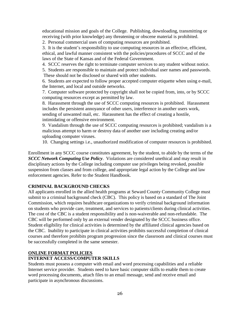educational mission and goals of the College. Publishing, downloading, transmitting or receiving (with prior knowledge) any threatening or obscene material is prohibited.

2. Personal commercial uses of computing resources are prohibited.

3. It is the student's responsibility to use computing resources in an effective, efficient, ethical, and lawful manner consistent with the policies/procedures of SCCC and of the laws of the State of Kansas and of the Federal Government.

4. SCCC reserves the right to terminate computer services to any student without notice.

5. Students are responsible to maintain and protect individual user names and passwords. These should not be disclosed or shared with other students.

6. Students are expected to follow proper accepted computer etiquette when using e-mail, the Internet, and local and outside networks.

7. Computer software protected by copyright shall not be copied from, into, or by SCCC computing resources except as permitted by law.

8. Harassment through the use of SCCC computing resources is prohibited. Harassment includes the persistent annoyance of other users, interference in another users work, sending of unwanted mail, etc. Harassment has the effect of creating a hostile, intimidating or offensive environment.

9. Vandalism through the use of SCCC computing resources is prohibited; vandalism is a malicious attempt to harm or destroy data of another user including creating and/or uploading computer viruses.

10. Changing settings i.e., unauthorized modification of computer resources is prohibited.

Enrollment in any SCCC course constitutes agreement, by the student, to abide by the terms of the *SCCC Network Computing Use Policy*. Violations are considered unethical and may result in disciplinary actions by the College including computer use privileges being revoked, possible suspension from classes and from college, and appropriate legal action by the College and law enforcement agencies. Refer to the Student Handbook.

### **CRIMINAL BACKGROUND CHECKS**

All applicants enrolled in the allied health programs at Seward County Community College must submit to a criminal background check (CBC). This policy is based on a standard of The Joint Commission, which requires healthcare organizations to verify criminal background information on students who provide care, treatment, and services to patients/clients during clinical activities. The cost of the CBC is a student responsibility and is non-waiverable and non-refundable. The CBC will be performed only by an external vender designated by the SCCC business office. Student eligibility for clinical activities is determined by the affiliated clinical agencies based on the CBC. Inability to participate in clinical activities prohibits successful completion of clinical courses and therefore prohibits program progression since the classroom and clinical courses must be successfully completed in the same semester.

### **ONLINE FORMAT POLICIES**

## **INTERNET ACCESS/COMPUTER SKILLS**

Students must possess a computer with email and word processing capabilities and a reliable Internet service provider. Students need to have basic computer skills to enable them to create word processing documents, attach files to an email message, send and receive email and participate in asynchronous discussions.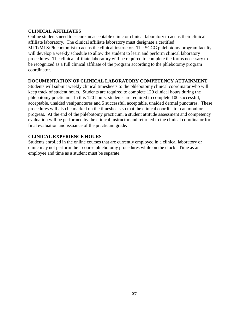#### **CLINICAL AFFILIATES**

Online students need to secure an acceptable clinic or clinical laboratory to act as their clinical affiliate laboratory. The clinical affiliate laboratory must designate a certified MLT/MLS/Phlebotomist to act as the clinical instructor. The SCCC phlebotomy program faculty will develop a weekly schedule to allow the student to learn and perform clinical laboratory procedures. The clinical affiliate laboratory will be required to complete the forms necessary to be recognized as a full clinical affiliate of the program according to the phlebotomy program coordinator.

#### **DOCUMENTATION OF CLINICAL LABORATORY COMPETENCY ATTAINMENT**

Students will submit weekly clinical timesheets to the phlebotomy clinical coordinator who will keep track of student hours. Students are required to complete 120 clinical hours during the phlebotomy practicum. In this 120 hours, students are required to complete 100 successful, acceptable, unaided venipunctures and 5 successful, acceptable, unaided dermal punctures. These procedures will also be marked on the timesheets so that the clinical coordinator can monitor progress. At the end of the phlebotomy practicum, a student attitude assessment and competency evaluation will be performed by the clinical instructor and returned to the clinical coordinator for final evaluation and issuance of the practicum grade**.** 

### **CLINICAL EXPERIENCE HOURS**

Students enrolled in the online courses that are currently employed in a clinical laboratory or clinic may not perform their course phlebotomy procedures while on the clock. Time as an employee and time as a student must be separate.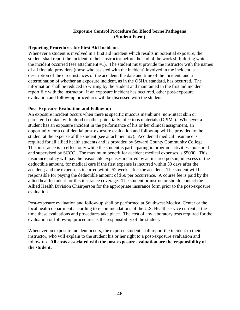### **Exposure Control Procedure for Blood borne Pathogens (Student Form)**

#### **Reporting Procedures for First Aid Incidents**

Whenever a student is involved in a first aid incident which results in potential exposure, the student shall report the incident to their instructor before the end of the work shift during which the incident occurred (see attachment #1). The student must provide the instructor with the names of all first aid providers (those who assisted with the incident) involved in the incident, a description of the circumstances of the accident, the date and time of the incident, and a determination of whether an exposure incident, as in the OSHA standard, has occurred. The information shall be reduced to writing by the student and maintained in the first aid incident report file with the instructor. If an exposure incident has occurred, other post-exposure evaluation and follow-up procedures will be discussed with the student.

#### **Post-Exposure Evaluation and Follow-up**

An exposure incident occurs when there is specific mucous membrane, non-intact skin or parenteral contact with blood or other potentially infectious materials (OPIMs). Whenever a student has an exposure incident in the performance of his or her clinical assignment, an opportunity for a confidential post-exposure evaluation and follow-up will be provided to the student at the expense of the student (see attachment #2). Accidental medical insurance is required for all allied health students and is provided by Seward County Community College. This insurance is in effect only while the student is participating in program activities sponsored and supervised by SCCC. The maximum benefit for accident medical expenses is \$5000. This insurance policy will pay the reasonable expenses incurred by an insured person, in excess of the deductible amount, for medical care if the first expense is incurred within 30 days after the accident; and the expense is incurred within 52 weeks after the accident. The student will be responsible for paying the deductible amount of \$50 per occurrence. A course fee is paid by the allied health student for this insurance coverage. The student or instructor should contact the Allied Health Division Chairperson for the appropriate insurance form prior to the post-exposure evaluation.

Post-exposure evaluation and follow-up shall be performed at Southwest Medical Center or the local health department according to recommendations of the U.S. Health service current at the time these evaluations and procedures take place. The cost of any laboratory tests required for the evaluation or follow-up procedures is the responsibility of the student.

Whenever an exposure incident occurs, the exposed student shall report the incident to their instructor, who will explain to the student his or her right to a post-exposure evaluation and follow-up. **All costs associated with the post-exposure evaluation are the responsibility of the student.**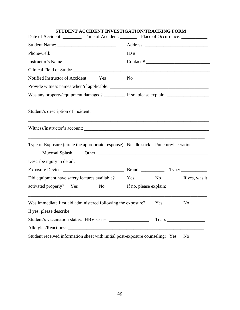| STUDENT ACCIDENT INVESTIGATION/TRACKING FORM                                                                           |                                                                                                                                                                                                                                                                                                                                                                                                               |  |  |
|------------------------------------------------------------------------------------------------------------------------|---------------------------------------------------------------------------------------------------------------------------------------------------------------------------------------------------------------------------------------------------------------------------------------------------------------------------------------------------------------------------------------------------------------|--|--|
| Date of Accident: ___________ Time of Accident: __________ Place of Occurrence: ____________                           |                                                                                                                                                                                                                                                                                                                                                                                                               |  |  |
|                                                                                                                        |                                                                                                                                                                                                                                                                                                                                                                                                               |  |  |
|                                                                                                                        |                                                                                                                                                                                                                                                                                                                                                                                                               |  |  |
| Instructor's Name:                                                                                                     | Contact # $\frac{1}{\sqrt{1-\frac{1}{2}} \cdot \frac{1}{2}}$                                                                                                                                                                                                                                                                                                                                                  |  |  |
|                                                                                                                        |                                                                                                                                                                                                                                                                                                                                                                                                               |  |  |
| Notified Instructor of Accident: Yes________ No______                                                                  |                                                                                                                                                                                                                                                                                                                                                                                                               |  |  |
|                                                                                                                        |                                                                                                                                                                                                                                                                                                                                                                                                               |  |  |
| Was any property/equipment damaged? __________ If so, please explain: ___________                                      |                                                                                                                                                                                                                                                                                                                                                                                                               |  |  |
| ,我们也不会有什么。""我们的人,我们也不会有什么?""我们的人,我们也不会有什么?""我们的人,我们也不会有什么?""我们的人,我们也不会有什么?""我们的人<br>Student's description of incident: |                                                                                                                                                                                                                                                                                                                                                                                                               |  |  |
| Witness/instructor's account:                                                                                          |                                                                                                                                                                                                                                                                                                                                                                                                               |  |  |
| Type of Exposure (circle the appropriate response): Needle stick Puncture/laceration                                   |                                                                                                                                                                                                                                                                                                                                                                                                               |  |  |
|                                                                                                                        |                                                                                                                                                                                                                                                                                                                                                                                                               |  |  |
| Describe injury in detail:                                                                                             |                                                                                                                                                                                                                                                                                                                                                                                                               |  |  |
|                                                                                                                        |                                                                                                                                                                                                                                                                                                                                                                                                               |  |  |
|                                                                                                                        |                                                                                                                                                                                                                                                                                                                                                                                                               |  |  |
|                                                                                                                        | If no, please explain: $\frac{1}{\sqrt{1-\frac{1}{\sqrt{1-\frac{1}{\sqrt{1-\frac{1}{\sqrt{1-\frac{1}{\sqrt{1-\frac{1}{\sqrt{1-\frac{1}{\sqrt{1-\frac{1}{\sqrt{1-\frac{1}{\sqrt{1-\frac{1}{\sqrt{1-\frac{1}{\sqrt{1-\frac{1}{\sqrt{1-\frac{1}{\sqrt{1-\frac{1}{\sqrt{1-\frac{1}{\sqrt{1-\frac{1}{\sqrt{1-\frac{1}{\sqrt{1-\frac{1}{\sqrt{1-\frac{1}{\sqrt{1-\frac{1}{\sqrt{1-\frac{1}{\sqrt{1-\frac{1}{\sqrt{$ |  |  |
|                                                                                                                        |                                                                                                                                                                                                                                                                                                                                                                                                               |  |  |
|                                                                                                                        |                                                                                                                                                                                                                                                                                                                                                                                                               |  |  |
|                                                                                                                        |                                                                                                                                                                                                                                                                                                                                                                                                               |  |  |
|                                                                                                                        |                                                                                                                                                                                                                                                                                                                                                                                                               |  |  |
| Student received information sheet with initial post-exposure counseling: Yes_ No_                                     |                                                                                                                                                                                                                                                                                                                                                                                                               |  |  |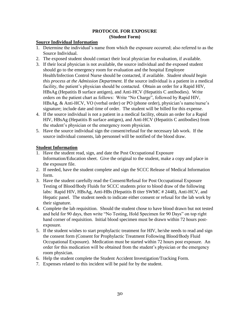#### **PROTOCOL FOR EXPOSURE (Student Form)**

#### **Source Individual Information**

- 1. Determine the individual's name from which the exposure occurred; also referred to as the Source Individual.
- 2. The exposed student should contact their local physician for evaluation, if available.
- 3. If their local physician is not available, the source individual and the exposed student should go to the emergency room for evaluation and the hospital Employee Health/Infection Control Nurse should be contacted, if available. *Student should begin this process at the Admission Department.* If the source individual is a patient in a medical facility, the patient's physician should be contacted. Obtain an order for a Rapid HIV, HBsAg (Hepatitis B surface antigen), and Anti-HCV (Hepatitis C antibodies). Write orders on the patient chart as follows: Write "No Charge", followed by Rapid HIV, HBsAg, & Anti-HCV, VO (verbal order) or PO (phone order), physician's name/nurse's signature; include date and time of order. The student will be billed for this expense.
- 4. If the source individual is not a patient in a medical facility, obtain an order for a Rapid HIV, HBsAg (Hepatitis B surface antigen), and Anti-HCV (Hepatitis C antibodies) from the student's physician or the emergency room physician.
- 5. Have the source individual sign the consent/refusal for the necessary lab work. If the source individual consents, lab personnel will be notified of the blood draw.

## **Student Information**

- 1. Have the student read, sign, and date the Post Occupational Exposure Information/Education sheet. Give the original to the student, make a copy and place in the exposure file.
- 2. If needed, have the student complete and sign the SCCC Release of Medical Information form.
- 3. Have the student carefully read the Consent/Refusal for Post Occupational Exposure Testing of Blood/Body Fluids for SCCC students prior to blood draw of the following labs: Rapid HIV, HBsAg, Anti-HBs (Hepatitis B titer SWMC # 2448), Anti-HCV, and Hepatic panel. The student needs to indicate either consent or refusal for the lab work by their signature.
- 4. Complete the lab requisition. Should the student chose to have blood drawn but not tested and held for 90 days, then write "No Testing, Hold Specimen for 90 Days" on top right hand corner of requisition. Initial blood specimen must be drawn within 72 hours postexposure.
- 5. If the student wishes to start prophylactic treatment for HIV, he/she needs to read and sign the consent form (Consent for Prophylactic Treatment Following Blood/Body Fluid Occupational Exposure). Medication must be started within 72 hours post exposure. An order for this medication will be obtained from the student's physician or the emergency room physician.
- 6. Help the student complete the Student Accident Investigation/Tracking Form.
- 7. Expenses related to this incident will be paid for by the student.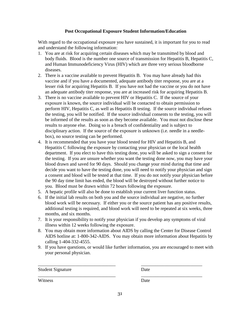### **Post Occupational Exposure Student Information/Education**

With regard to the occupational exposure you have sustained, it is important for you to read and understand the following information:

- 1. You are at risk for acquiring certain diseases which may be transmitted by blood and body fluids. Blood is the number one source of transmission for Hepatitis B, Hepatitis C, and Human Immunodeficiency Virus (HIV) which are three very serious bloodborne diseases.
- 2. There is a vaccine available to prevent Hepatitis B. You may have already had this vaccine and if you have a documented, adequate antibody titer response, you are at a lesser risk for acquiring Hepatitis B. If you have not had the vaccine or you do not have an adequate antibody titer response, you are at increased risk for acquiring Hepatitis B.
- 3. There is no vaccine available to prevent HIV or Hepatitis C. If the source of your exposure is known, the source individual will be contacted to obtain permission to perform HIV, Hepatitis C, as well as Hepatitis B testing. If the source individual refuses the testing, you will be notified. If the source individual consents to the testing, you will be informed of the results as soon as they become available. You must not disclose these results to anyone else. Doing so is a breach of confidentiality and is subject to disciplinary action. If the source of the exposure is unknown (i.e. needle in a needlebox), no source testing can be performed.
- 4. It is recommended that you have your blood tested for HIV and Hepatitis B, and Hepatitis C following the exposure by contacting your physician or the local health department. If you elect to have this testing done, you will be asked to sign a consent for the testing. If you are unsure whether you want the testing done now, you may have your blood drawn and saved for 90 days. Should you change your mind during that time and decide you want to have the testing done, you will need to notify your physician and sign a consent and blood will be tested at that time. If you do not notify your physician before the 90 day time limit has ended, the blood will be destroyed without further notice to you. Blood must be drawn within 72 hours following the exposure.
- 5. A hepatic profile will also be done to establish your current liver function status.
- 6. If the initial lab results on both you and the source individual are negative, no further blood work will be necessary. If either you or the source patient has any positive results, additional testing is required, and blood work will need to be repeated at six weeks, three months, and six months.
- 7. It is your responsibility to notify your physician if you develop any symptoms of viral illness within 12 weeks following the exposure.
- 8. You may obtain more information about AIDS by calling the Center for Disease Control AIDS hotline at: 1-800-342-AIDS. You may obtain more information about Hepatitis by calling 1-404-332-4555.
- 9. If you have questions, or would like further information, you are encouraged to meet with your personal physician.

| <b>Student Signature</b> | Date |
|--------------------------|------|
|                          |      |

Witness Date

\_\_\_\_\_\_\_\_\_\_\_\_\_\_\_\_\_\_\_\_\_\_\_\_\_\_\_\_\_\_\_\_\_ \_\_\_\_\_\_\_\_\_\_\_\_\_\_\_\_\_\_\_\_\_\_\_\_\_\_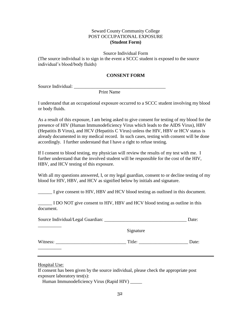### Seward County Community College POST OCCUPATIONAL EXPOSURE **(Student Form)**

Source Individual Form

(The source individual is to sign in the event a SCCC student is exposed to the source individual's blood/body fluids)

#### **CONSENT FORM**

Source Individual: \_\_\_\_\_\_\_\_\_\_\_\_\_\_\_\_\_\_\_\_\_\_\_\_\_\_\_\_\_\_\_\_\_\_\_\_\_\_\_

Print Name

I understand that an occupational exposure occurred to a SCCC student involving my blood or body fluids.

As a result of this exposure, I am being asked to give consent for testing of my blood for the presence of HIV (Human Immunodeficiency Virus which leads to the AIDS Virus), HBV (Hepatitis B Virus), and HCV (Hepatitis C Virus) unless the HIV, HBV or HCV status is already documented in my medical record. In such cases, testing with consent will be done accordingly. I further understand that I have a right to refuse testing.

If I consent to blood testing, my physician will review the results of my test with me. I further understand that the involved student will be responsible for the cost of the HIV, HBV, and HCV testing of this exposure.

With all my questions answered, I, or my legal guardian, consent to or decline testing of my blood for HIV, HBV, and HCV as signified below by initials and signature.

\_\_\_\_\_\_ I give consent to HIV, HBV and HCV blood testing as outlined in this document.

I DO NOT give consent to HIV, HBV and HCV blood testing as outline in this document.

| Source Individual/Legal Guardian: | Date: |
|-----------------------------------|-------|
|                                   |       |

Signature

Witness: \_\_\_\_\_\_\_\_\_\_\_\_\_\_\_\_\_\_\_\_\_\_\_\_\_\_\_\_\_\_ Title: \_\_\_\_\_\_\_\_\_\_\_\_\_\_\_\_\_\_\_\_\_ Date:

Hospital Use:

\_\_\_\_\_\_\_\_\_\_

\_\_\_\_\_\_\_\_\_\_

If consent has been given by the source individual, please check the appropriate post exposure laboratory test(s):

Human Immunodeficiency Virus (Rapid HIV) \_\_\_\_\_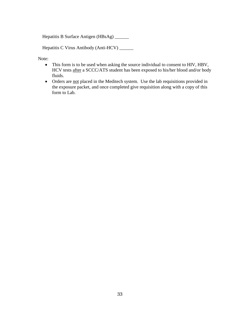Hepatitis B Surface Antigen (HBsAg) \_\_\_\_\_\_

Hepatitis C Virus Antibody (Anti-HCV) \_\_\_\_\_\_

Note:

- This form is to be used when asking the source individual to consent to HIV, HBV, HCV tests after a SCCC/ATS student has been exposed to his/her blood and/or body fluids.
- Orders are not placed in the Meditech system. Use the lab requisitions provided in the exposure packet, and once completed give requisition along with a copy of this form to Lab.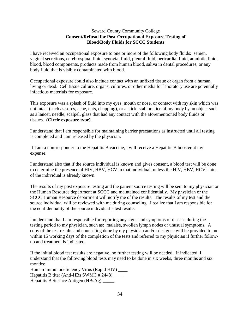#### Seward County Community College **Consent/Refusal for Post-Occupational Exposure Testing of Blood/Body Fluids for SCCC Students**

I have received an occupational exposure to one or more of the following body fluids: semen, vaginal secretions, cerebrospinal fluid, synovial fluid, pleural fluid, pericardial fluid, amniotic fluid, blood, blood components, products made from human blood, saliva in dental procedures, or any body fluid that is visibly contaminated with blood.

Occupational exposure could also include contact with an unfixed tissue or organ from a human, living or dead. Cell tissue culture, organs, cultures, or other media for laboratory use are potentially infectious materials for exposure.

This exposure was a splash of fluid into my eyes, mouth or nose, or contact with my skin which was not intact (such as sores, acne, cuts, chapping), or a stick, stab or slice of my body by an object such as a lancet, needle, scalpel, glass that had any contact with the aforementioned body fluids or tissues. **(Circle exposure type)**.

I understand that I am responsible for maintaining barrier precautions as instructed until all testing is completed and I am released by the physician.

If I am a non-responder to the Hepatitis B vaccine, I will receive a Hepatitis B booster at my expense.

I understand also that if the source individual is known and gives consent, a blood test will be done to determine the presence of HIV, HBV, HCV in that individual, unless the HIV, HBV, HCV status of the individual is already known.

The results of my post exposure testing and the patient source testing will be sent to my physician or the Human Resource department at SCCC and maintained confidentially. My physician or the SCCC Human Resource department will notify me of the results. The results of my test and the source individual will be reviewed with me during counseling. I realize that I am responsible for the confidentiality of the source individual's test results.

I understand that I am responsible for reporting any signs and symptoms of disease during the testing period to my physician, such as: malaise, swollen lymph nodes or unusual symptoms. A copy of the test results and counseling done by my physician and/or designee will be provided to me within 15 working days of the completion of the tests and referred to my physician if further followup and treatment is indicated.

If the initial blood test results are negative, no further testing will be needed. If indicated, I understand that the following blood tests may need to be done in six weeks, three months and six months:

Human Immunodeficiency Virus (Rapid HIV) \_\_\_\_ Hepatitis B titer (Anti-HBs SWMC # 2448) \_\_\_\_ Hepatitis B Surface Antigen (HBsAg) \_\_\_\_\_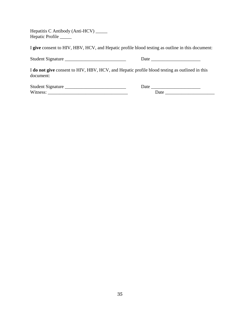Hepatitis C Antibody (Anti-HCV) \_\_\_\_\_ Hepatic Profile \_\_\_\_\_\_

I **give** consent to HIV, HBV, HCV, and Hepatic profile blood testing as outline in this document:

Student Signature \_\_\_\_\_\_\_\_\_\_\_\_\_\_\_\_\_\_\_\_\_\_\_\_\_\_ Date \_\_\_\_\_\_\_\_\_\_\_\_\_\_\_\_\_\_\_\_\_

I **do not give** consent to HIV, HBV, HCV, and Hepatic profile blood testing as outlined in this document:

| <b>Student Signature</b> | Jate |  |
|--------------------------|------|--|
| Witness:                 | Jate |  |

| l late<br>cac |      |
|---------------|------|
| ______        | Date |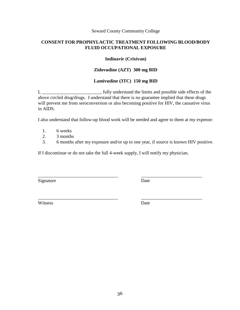#### Seward County Community College

### **CONSENT FOR PROPHYLACTIC TREATMENT FOLLOWING BLOOD/BODY FLUID OCCUPATIONAL EXPOSURE**

#### **Indinavir (Crixivan)**

#### **Zidovudine (AZT) 300 mg BID**

#### **Lamivudine (3TC) 150 mg BID**

I, \_\_\_\_\_\_\_\_\_\_\_\_\_\_\_\_\_\_\_\_\_\_\_\_\_\_, fully understand the limits and possible side effects of the above circled drug/drugs. I understand that there is no guarantee implied that these drugs will prevent me from seroconversion or also becoming positive for HIV, the causative virus in AIDS.

I also understand that follow-up blood work will be needed and agree to them at my expense:

- 1. 6 weeks
- 2. 3 months
- 3. 6 months after my exposure and/or up to one year, if source is known HIV positive.

If I discontinue or do not take the full 4-week supply, I will notify my physician.

\_\_\_\_\_\_\_\_\_\_\_\_\_\_\_\_\_\_\_\_\_\_\_\_\_\_\_\_\_\_\_\_\_\_ \_\_\_\_\_\_\_\_\_\_\_\_\_\_\_\_\_\_\_\_\_\_\_\_\_\_

Signature Date

Witness Date

\_\_\_\_\_\_\_\_\_\_\_\_\_\_\_\_\_\_\_\_\_\_\_\_\_\_\_\_\_\_\_\_\_\_ \_\_\_\_\_\_\_\_\_\_\_\_\_\_\_\_\_\_\_\_\_\_\_\_\_\_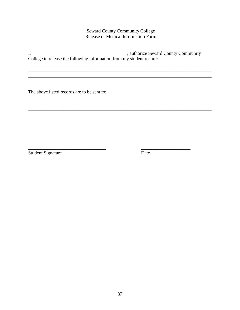## **Seward County Community College** Release of Medical Information Form

The above listed records are to be sent to:

**Student Signature** 

Date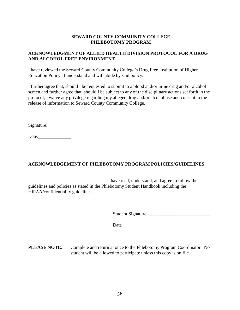### **SEWARD COUNTY COMMUNITY COLLEGE PHLEBOTOMY PROGRAM**

## **ACKNOWLEDGMENT OF ALLIED HEALTH DIVISION PROTOCOL FOR A DRUG AND ALCOHOL FREE ENVIRONMENT**

I have reviewed the Seward County Community College's Drug Free Institution of Higher Education Policy. I understand and will abide by said policy.

I further agree that, should I be requested to submit to a blood and/or urine drug and/or alcohol screen and further agree that, should I be subject to any of the disciplinary actions set forth in the protocol, I waive any privilege regarding my alleged drug and/or alcohol use and consent to the release of information to Seward County Community College.

Signature:\_\_\_\_\_\_\_\_\_\_\_\_\_\_\_\_\_\_\_\_\_\_\_\_\_\_\_\_\_\_\_\_\_\_

Date:\_\_\_\_\_\_\_\_\_\_\_\_\_\_

## **ACKNOWLEDGEMENT OF PHLEBOTOMY PROGRAM POLICIES/GUIDELINES**

I have read, understand, and agree to follow the guidelines and policies as stated in the Phlebotomy Student Handbook including the HIPAA/confidentiality guidelines.

Student Signature \_\_\_\_\_\_\_\_\_\_\_\_\_\_\_\_\_\_\_\_\_\_\_\_\_\_

Date \_\_\_\_\_\_\_\_\_\_\_\_\_\_\_\_\_\_\_\_\_\_\_\_\_\_\_\_\_\_\_\_\_\_\_\_\_

**PLEASE NOTE:** Complete and return at once to the Phlebotomy Program Coordinator. No student will be allowed to participate unless this copy is on file.